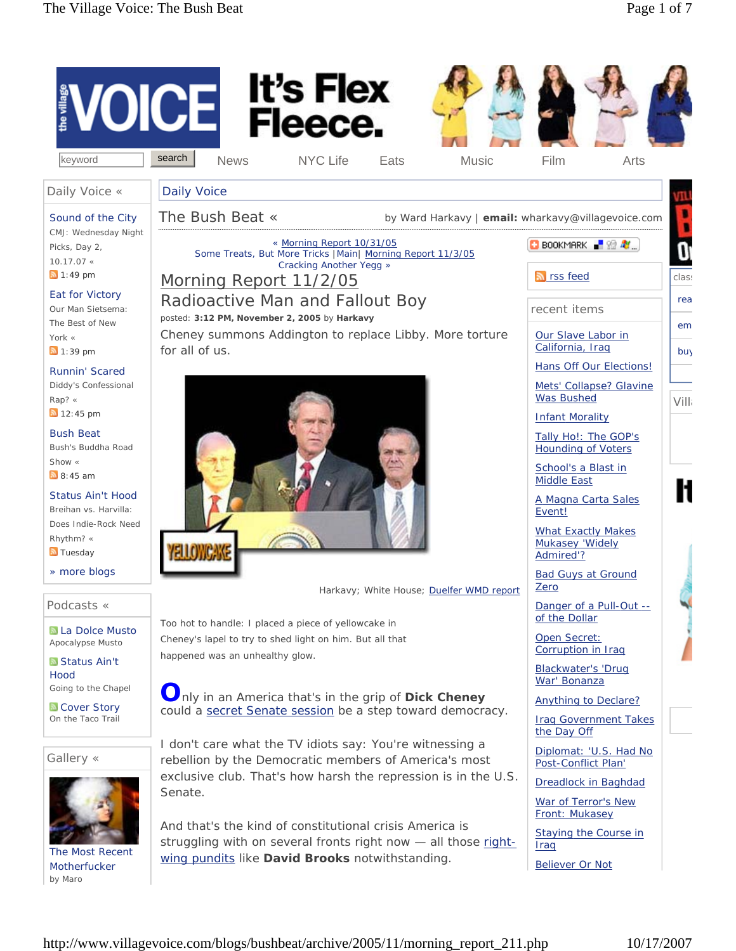